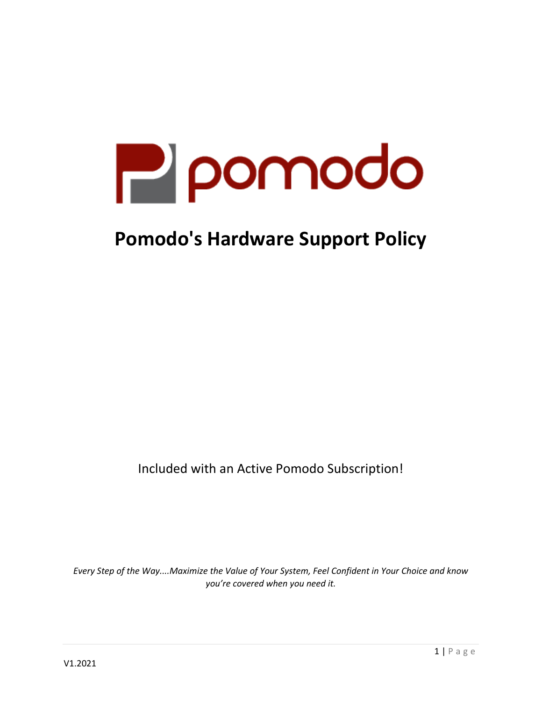

# **Pomodo's Hardware Support Policy**

Included with an Active Pomodo Subscription!

*Every Step of the Way....Maximize the Value of Your System, Feel Confident in Your Choice and know you're covered when you need it.*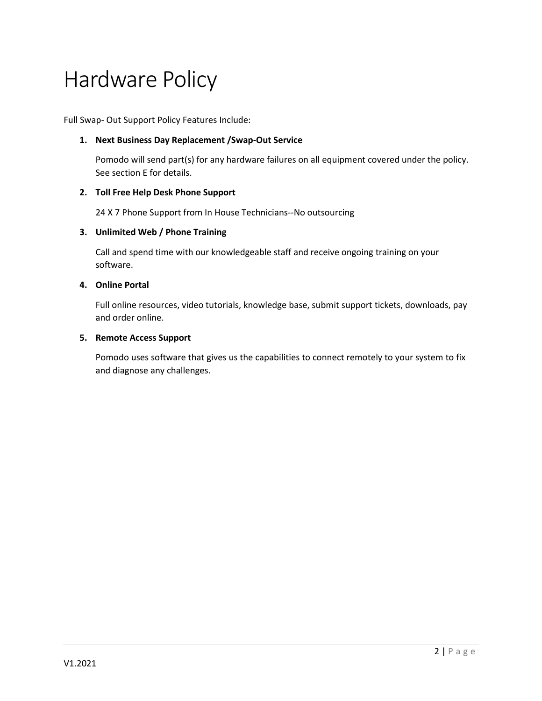# Hardware Policy

Full Swap- Out Support Policy Features Include:

## **1. Next Business Day Replacement /Swap-Out Service**

Pomodo will send part(s) for any hardware failures on all equipment covered under the policy. See section E for details.

#### **2. Toll Free Help Desk Phone Support**

24 X 7 Phone Support from In House Technicians--No outsourcing

#### **3. Unlimited Web / Phone Training**

Call and spend time with our knowledgeable staff and receive ongoing training on your software.

#### **4. Online Portal**

Full online resources, video tutorials, knowledge base, submit support tickets, downloads, pay and order online.

#### **5. Remote Access Support**

Pomodo uses software that gives us the capabilities to connect remotely to your system to fix and diagnose any challenges.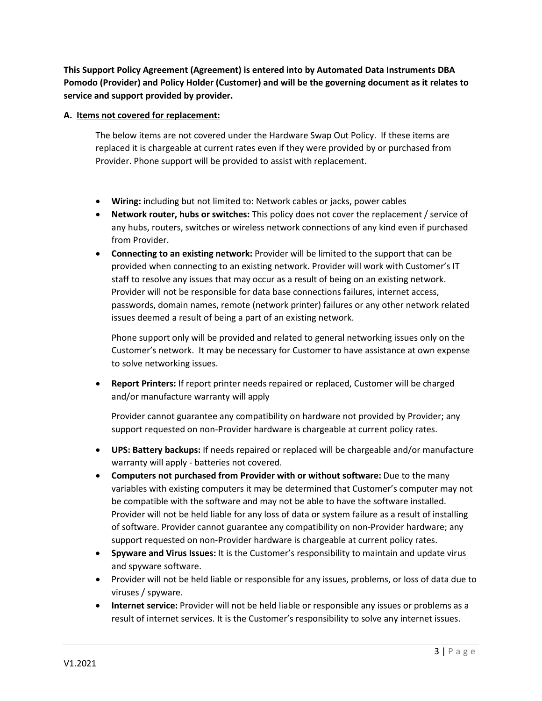**This Support Policy Agreement (Agreement) is entered into by Automated Data Instruments DBA Pomodo (Provider) and Policy Holder (Customer) and will be the governing document as it relates to service and support provided by provider.**

#### **A. Items not covered for replacement:**

The below items are not covered under the Hardware Swap Out Policy. If these items are replaced it is chargeable at current rates even if they were provided by or purchased from Provider. Phone support will be provided to assist with replacement.

- **Wiring:** including but not limited to: Network cables or jacks, power cables
- **Network router, hubs or switches:** This policy does not cover the replacement / service of any hubs, routers, switches or wireless network connections of any kind even if purchased from Provider.
- **Connecting to an existing network:** Provider will be limited to the support that can be provided when connecting to an existing network. Provider will work with Customer's IT staff to resolve any issues that may occur as a result of being on an existing network. Provider will not be responsible for data base connections failures, internet access, passwords, domain names, remote (network printer) failures or any other network related issues deemed a result of being a part of an existing network.

Phone support only will be provided and related to general networking issues only on the Customer's network. It may be necessary for Customer to have assistance at own expense to solve networking issues.

• **Report Printers:** If report printer needs repaired or replaced, Customer will be charged and/or manufacture warranty will apply

Provider cannot guarantee any compatibility on hardware not provided by Provider; any support requested on non-Provider hardware is chargeable at current policy rates.

- **UPS: Battery backups:** If needs repaired or replaced will be chargeable and/or manufacture warranty will apply - batteries not covered.
- **Computers not purchased from Provider with or without software:** Due to the many variables with existing computers it may be determined that Customer's computer may not be compatible with the software and may not be able to have the software installed. Provider will not be held liable for any loss of data or system failure as a result of installing of software. Provider cannot guarantee any compatibility on non-Provider hardware; any support requested on non-Provider hardware is chargeable at current policy rates.
- **Spyware and Virus Issues:** It is the Customer's responsibility to maintain and update virus and spyware software.
- Provider will not be held liable or responsible for any issues, problems, or loss of data due to viruses / spyware.
- **Internet service:** Provider will not be held liable or responsible any issues or problems as a result of internet services. It is the Customer's responsibility to solve any internet issues.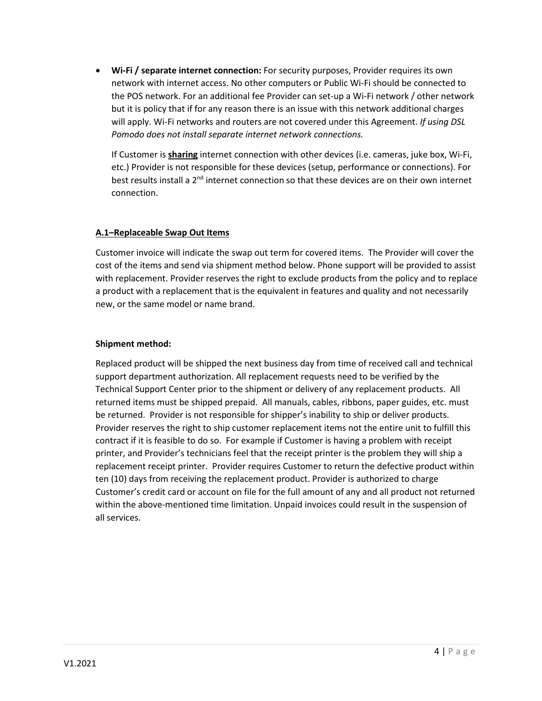• **Wi-Fi / separate internet connection:** For security purposes, Provider requires its own network with internet access. No other computers or Public Wi-Fi should be connected to the POS network. For an additional fee Provider can set-up a Wi-Fi network / other network but it is policy that if for any reason there is an issue with this network additional charges will apply. Wi-Fi networks and routers are not covered under this Agreement. *If using DSL Pomodo does not install separate internet network connections.*

If Customer is **sharing** internet connection with other devices (i.e. cameras, juke box, Wi-Fi, etc.) Provider is not responsible for these devices (setup, performance or connections). For best results install a 2<sup>nd</sup> internet connection so that these devices are on their own internet connection.

#### **A.1–Replaceable Swap Out Items**

Customer invoice will indicate the swap out term for covered items. The Provider will cover the cost of the items and send via shipment method below. Phone support will be provided to assist with replacement. Provider reserves the right to exclude products from the policy and to replace a product with a replacement that is the equivalent in features and quality and not necessarily new, or the same model or name brand.

#### **Shipment method:**

Replaced product will be shipped the next business day from time of received call and technical support department authorization. All replacement requests need to be verified by the Technical Support Center prior to the shipment or delivery of any replacement products. All returned items must be shipped prepaid. All manuals, cables, ribbons, paper guides, etc. must be returned. Provider is not responsible for shipper's inability to ship or deliver products. Provider reserves the right to ship customer replacement items not the entire unit to fulfill this contract if it is feasible to do so. For example if Customer is having a problem with receipt printer, and Provider's technicians feel that the receipt printer is the problem they will ship a replacement receipt printer. Provider requires Customer to return the defective product within ten (10) days from receiving the replacement product. Provider is authorized to charge Customer's credit card or account on file for the full amount of any and all product not returned within the above-mentioned time limitation. Unpaid invoices could result in the suspension of all services.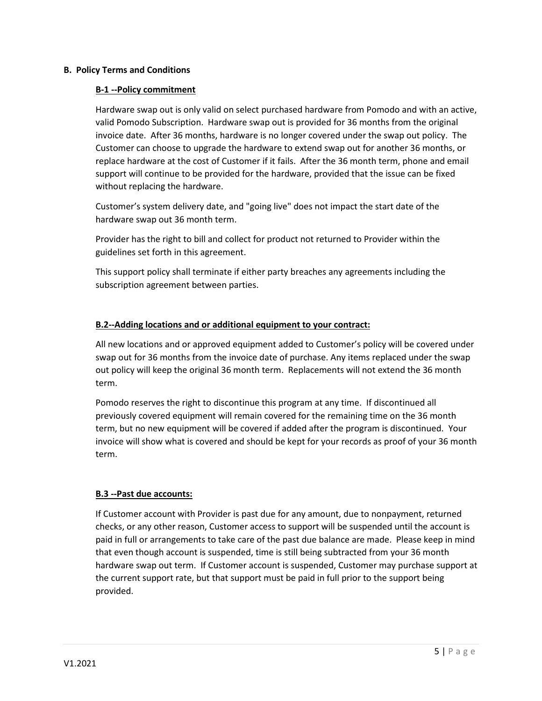#### **B. Policy Terms and Conditions**

#### **B-1 --Policy commitment**

Hardware swap out is only valid on select purchased hardware from Pomodo and with an active, valid Pomodo Subscription. Hardware swap out is provided for 36 months from the original invoice date. After 36 months, hardware is no longer covered under the swap out policy. The Customer can choose to upgrade the hardware to extend swap out for another 36 months, or replace hardware at the cost of Customer if it fails. After the 36 month term, phone and email support will continue to be provided for the hardware, provided that the issue can be fixed without replacing the hardware.

Customer's system delivery date, and "going live" does not impact the start date of the hardware swap out 36 month term.

Provider has the right to bill and collect for product not returned to Provider within the guidelines set forth in this agreement.

This support policy shall terminate if either party breaches any agreements including the subscription agreement between parties.

#### **B.2--Adding locations and or additional equipment to your contract:**

All new locations and or approved equipment added to Customer's policy will be covered under swap out for 36 months from the invoice date of purchase. Any items replaced under the swap out policy will keep the original 36 month term. Replacements will not extend the 36 month term.

Pomodo reserves the right to discontinue this program at any time. If discontinued all previously covered equipment will remain covered for the remaining time on the 36 month term, but no new equipment will be covered if added after the program is discontinued. Your invoice will show what is covered and should be kept for your records as proof of your 36 month term.

## **B.3 --Past due accounts:**

If Customer account with Provider is past due for any amount, due to nonpayment, returned checks, or any other reason, Customer access to support will be suspended until the account is paid in full or arrangements to take care of the past due balance are made. Please keep in mind that even though account is suspended, time is still being subtracted from your 36 month hardware swap out term. If Customer account is suspended, Customer may purchase support at the current support rate, but that support must be paid in full prior to the support being provided.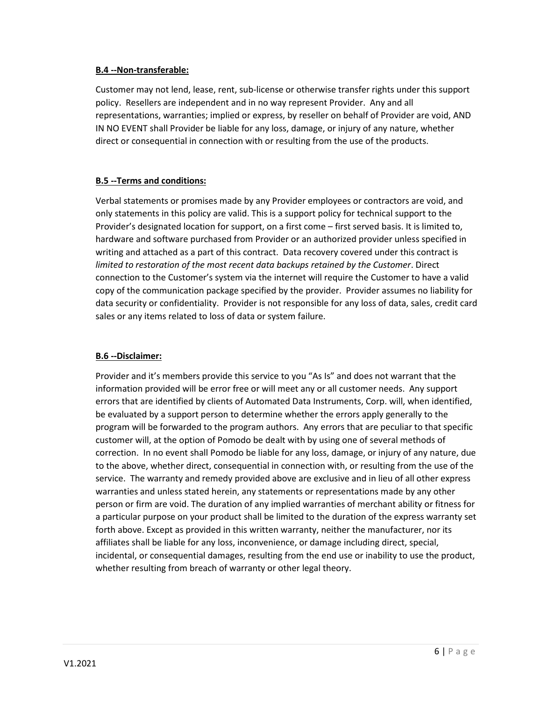#### **B.4 --Non-transferable:**

Customer may not lend, lease, rent, sub-license or otherwise transfer rights under this support policy. Resellers are independent and in no way represent Provider. Any and all representations, warranties; implied or express, by reseller on behalf of Provider are void, AND IN NO EVENT shall Provider be liable for any loss, damage, or injury of any nature, whether direct or consequential in connection with or resulting from the use of the products.

# **B.5 --Terms and conditions:**

Verbal statements or promises made by any Provider employees or contractors are void, and only statements in this policy are valid. This is a support policy for technical support to the Provider's designated location for support, on a first come – first served basis. It is limited to, hardware and software purchased from Provider or an authorized provider unless specified in writing and attached as a part of this contract. Data recovery covered under this contract is *limited to restoration of the most recent data backups retained by the Customer*. Direct connection to the Customer's system via the internet will require the Customer to have a valid copy of the communication package specified by the provider. Provider assumes no liability for data security or confidentiality. Provider is not responsible for any loss of data, sales, credit card sales or any items related to loss of data or system failure.

# **B.6 --Disclaimer:**

Provider and it's members provide this service to you "As Is" and does not warrant that the information provided will be error free or will meet any or all customer needs. Any support errors that are identified by clients of Automated Data Instruments, Corp. will, when identified, be evaluated by a support person to determine whether the errors apply generally to the program will be forwarded to the program authors. Any errors that are peculiar to that specific customer will, at the option of Pomodo be dealt with by using one of several methods of correction. In no event shall Pomodo be liable for any loss, damage, or injury of any nature, due to the above, whether direct, consequential in connection with, or resulting from the use of the service. The warranty and remedy provided above are exclusive and in lieu of all other express warranties and unless stated herein, any statements or representations made by any other person or firm are void. The duration of any implied warranties of merchant ability or fitness for a particular purpose on your product shall be limited to the duration of the express warranty set forth above. Except as provided in this written warranty, neither the manufacturer, nor its affiliates shall be liable for any loss, inconvenience, or damage including direct, special, incidental, or consequential damages, resulting from the end use or inability to use the product, whether resulting from breach of warranty or other legal theory.